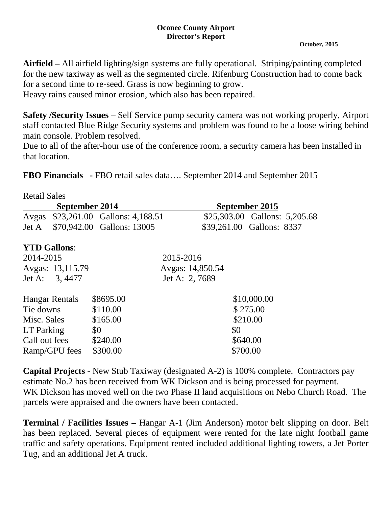## **Oconee County Airport Director's Report**

## **October, 2015**

**Airfield –** All airfield lighting/sign systems are fully operational. Striping/painting completed for the new taxiway as well as the segmented circle. Rifenburg Construction had to come back for a second time to re-seed. Grass is now beginning to grow.

Heavy rains caused minor erosion, which also has been repaired.

**Safety /Security Issues –** Self Service pump security camera was not working properly, Airport staff contacted Blue Ridge Security systems and problem was found to be a loose wiring behind main console. Problem resolved.

Due to all of the after-hour use of the conference room, a security camera has been installed in that location.

| <b>FBO Financials</b> - FBO retail sales data September 2014 and September 2015 |  |
|---------------------------------------------------------------------------------|--|
|---------------------------------------------------------------------------------|--|

| <b>Retail Sales</b>   |                  |                               |                  |  |          |                           |                               |  |
|-----------------------|------------------|-------------------------------|------------------|--|----------|---------------------------|-------------------------------|--|
| September 2014        |                  |                               | September 2015   |  |          |                           |                               |  |
| Avgas                 |                  | \$23,261.00 Gallons: 4,188.51 |                  |  |          |                           | \$25,303.00 Gallons: 5,205.68 |  |
| Jet A                 |                  | \$70,942.00 Gallons: 13005    |                  |  |          | \$39,261.00 Gallons: 8337 |                               |  |
| <b>YTD Gallons:</b>   |                  |                               |                  |  |          |                           |                               |  |
| 2014-2015             |                  |                               | 2015-2016        |  |          |                           |                               |  |
|                       | Avgas: 13,115.79 |                               | Avgas: 14,850.54 |  |          |                           |                               |  |
| Jet A: 3, 4477        |                  |                               | Jet A: 2, 7689   |  |          |                           |                               |  |
| <b>Hangar Rentals</b> |                  | \$8695.00                     |                  |  |          | \$10,000.00               |                               |  |
| Tie downs             |                  | \$110.00                      |                  |  |          | \$275.00                  |                               |  |
| Misc. Sales           |                  | \$165.00                      |                  |  |          | \$210.00                  |                               |  |
| LT Parking            |                  | \$0                           |                  |  | \$0      |                           |                               |  |
| Call out fees         |                  | \$240.00                      |                  |  | \$640.00 |                           |                               |  |
| Ramp/GPU fees         |                  | \$300.00                      |                  |  | \$700.00 |                           |                               |  |

**Capital Projects** - New Stub Taxiway (designated A-2) is 100% complete. Contractors pay estimate No.2 has been received from WK Dickson and is being processed for payment. WK Dickson has moved well on the two Phase II land acquisitions on Nebo Church Road. The parcels were appraised and the owners have been contacted.

**Terminal / Facilities Issues –** Hangar A-1 (Jim Anderson) motor belt slipping on door. Belt has been replaced. Several pieces of equipment were rented for the late night football game traffic and safety operations. Equipment rented included additional lighting towers, a Jet Porter Tug, and an additional Jet A truck.